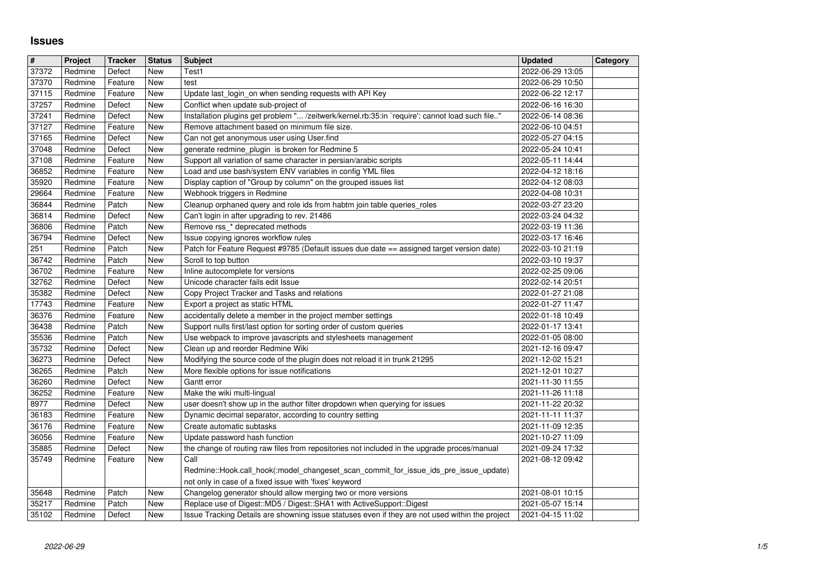## **Issues**

| $\sqrt{t}$<br>37372 | Project<br>Redmine | <b>Tracker</b><br>Defect | <b>Status</b><br>New | <b>Subject</b><br>Test1                                                                                                                                                 | <b>Updated</b><br>2022-06-29 13:05   | Category |
|---------------------|--------------------|--------------------------|----------------------|-------------------------------------------------------------------------------------------------------------------------------------------------------------------------|--------------------------------------|----------|
| 37370               | Redmine            | Feature                  | New                  | test                                                                                                                                                                    | 2022-06-29 10:50                     |          |
| 37115               | Redmine            | Feature                  | New                  | Update last_login_on when sending requests with API Key                                                                                                                 | 2022-06-22 12:17                     |          |
| 37257<br>37241      | Redmine<br>Redmine | Defect<br>Defect         | New<br>New           | Conflict when update sub-project of<br>Installation plugins get problem " /zeitwerk/kernel.rb:35:in `require': cannot load such file"                                   | 2022-06-16 16:30<br>2022-06-14 08:36 |          |
| 37127               | Redmine            | Feature                  | New                  | Remove attachment based on minimum file size.                                                                                                                           | 2022-06-10 04:51                     |          |
| 37165<br>37048      | Redmine<br>Redmine | Defect<br>Defect         | <b>New</b><br>New    | Can not get anonymous user using User.find<br>generate redmine_plugin is broken for Redmine 5                                                                           | 2022-05-27 04:15<br>2022-05-24 10:41 |          |
| 37108               | Redmine            | Feature                  | New                  | Support all variation of same character in persian/arabic scripts                                                                                                       | 2022-05-11 14:44                     |          |
| 36852               | Redmine            | Feature                  | New                  | Load and use bash/system ENV variables in config YML files                                                                                                              | 2022-04-12 18:16                     |          |
| 35920<br>29664      | Redmine<br>Redmine | Feature<br>Feature       | New<br>New           | Display caption of "Group by column" on the grouped issues list<br>Webhook triggers in Redmine                                                                          | 2022-04-12 08:03<br>2022-04-08 10:31 |          |
| 36844               | Redmine            | Patch                    | New                  | Cleanup orphaned query and role ids from habtm join table queries_roles                                                                                                 | 2022-03-27 23:20                     |          |
| 36814<br>36806      | Redmine<br>Redmine | Defect<br>Patch          | <b>New</b><br>New    | Can't login in after upgrading to rev. 21486<br>Remove rss_* deprecated methods                                                                                         | 2022-03-24 04:32<br>2022-03-19 11:36 |          |
| 36794               | Redmine            | Defect                   | New                  | Issue copying ignores workflow rules                                                                                                                                    | 2022-03-17 16:46                     |          |
| 251<br>36742        | Redmine<br>Redmine | Patch<br>Patch           | New<br>New           | Patch for Feature Request #9785 (Default issues due date == assigned target version date)<br>Scroll to top button                                                       | 2022-03-10 21:19<br>2022-03-10 19:37 |          |
| 36702               | Redmine            | Feature                  | New                  | Inline autocomplete for versions                                                                                                                                        | 2022-02-25 09:06                     |          |
| 32762<br>35382      | Redmine<br>Redmine | Defect<br>Defect         | New<br>New           | Unicode character fails edit Issue<br>Copy Project Tracker and Tasks and relations                                                                                      | 2022-02-14 20:51<br>2022-01-27 21:08 |          |
| 17743               | Redmine            | Feature                  | New                  | Export a project as static HTML                                                                                                                                         | 2022-01-27 11:47                     |          |
| 36376<br>36438      | Redmine<br>Redmine | Feature<br>Patch         | New<br>New           | accidentally delete a member in the project member settings<br>Support nulls first/last option for sorting order of custom queries                                      | 2022-01-18 10:49<br>2022-01-17 13:41 |          |
| 35536               | Redmine            | Patch                    | New                  | Use webpack to improve javascripts and stylesheets management                                                                                                           | 2022-01-05 08:00                     |          |
| 35732<br>36273      | Redmine<br>Redmine | Defect<br>Defect         | New<br>New           | Clean up and reorder Redmine Wiki<br>Modifying the source code of the plugin does not reload it in trunk 21295                                                          | 2021-12-16 09:47<br>2021-12-02 15:21 |          |
| 36265               | Redmine            | Patch                    | New                  | More flexible options for issue notifications                                                                                                                           | 2021-12-01 10:27                     |          |
| 36260<br>36252      | Redmine<br>Redmine | Defect<br>Feature        | New<br>New           | Gantt error<br>Make the wiki multi-lingual                                                                                                                              | 2021-11-30 11:55<br>2021-11-26 11:18 |          |
| 8977                | Redmine            | Defect                   | New                  | user doesn't show up in the author filter dropdown when querying for issues                                                                                             | 2021-11-22 20:32                     |          |
| 36183<br>36176      | Redmine<br>Redmine | Feature<br>Feature       | New<br>New           | Dynamic decimal separator, according to country setting<br>Create automatic subtasks                                                                                    | 2021-11-11 11:37<br>2021-11-09 12:35 |          |
| 36056               | Redmine            | Feature                  | New                  | Update password hash function                                                                                                                                           | 2021-10-27 11:09                     |          |
| 35885<br>35749      | Redmine<br>Redmine | Defect<br>Feature        | New                  | the change of routing raw files from repositories not included in the upgrade proces/manual<br>Call                                                                     | 2021-09-24 17:32<br>2021-08-12 09:42 |          |
|                     |                    |                          | New                  | Redmine::Hook.call_hook(:model_changeset_scan_commit_for_issue_ids_pre_issue_update)                                                                                    |                                      |          |
| 35648               | Redmine            | Patch                    | New                  | not only in case of a fixed issue with 'fixes' keyword<br>Changelog generator should allow merging two or more versions                                                 | 2021-08-01 10:15                     |          |
| 35217<br>35102      | Redmine            | Patch                    | New<br>New           | Replace use of Digest::MD5 / Digest::SHA1 with ActiveSupport::Digest<br>Issue Tracking Details are showning issue statuses even if they are not used within the project | 2021-05-07 15:14<br>2021-04-15 11:02 |          |
|                     |                    |                          |                      |                                                                                                                                                                         |                                      |          |
|                     |                    |                          |                      |                                                                                                                                                                         |                                      |          |
|                     |                    |                          |                      |                                                                                                                                                                         |                                      |          |
|                     |                    |                          |                      |                                                                                                                                                                         |                                      |          |
|                     |                    |                          |                      |                                                                                                                                                                         |                                      |          |
|                     |                    |                          |                      |                                                                                                                                                                         |                                      |          |
|                     |                    |                          |                      |                                                                                                                                                                         |                                      |          |
|                     |                    |                          |                      |                                                                                                                                                                         |                                      |          |
|                     |                    |                          |                      |                                                                                                                                                                         |                                      |          |
|                     |                    |                          |                      |                                                                                                                                                                         |                                      |          |
|                     |                    |                          |                      |                                                                                                                                                                         |                                      |          |
|                     |                    |                          |                      |                                                                                                                                                                         |                                      |          |
|                     |                    |                          |                      |                                                                                                                                                                         |                                      |          |
|                     |                    |                          |                      |                                                                                                                                                                         |                                      |          |
|                     |                    |                          |                      |                                                                                                                                                                         |                                      |          |
|                     |                    |                          |                      |                                                                                                                                                                         |                                      |          |
|                     |                    |                          |                      |                                                                                                                                                                         |                                      |          |
|                     |                    |                          |                      |                                                                                                                                                                         |                                      |          |
|                     |                    |                          |                      |                                                                                                                                                                         |                                      |          |
|                     |                    |                          |                      |                                                                                                                                                                         |                                      |          |
|                     |                    |                          |                      |                                                                                                                                                                         |                                      |          |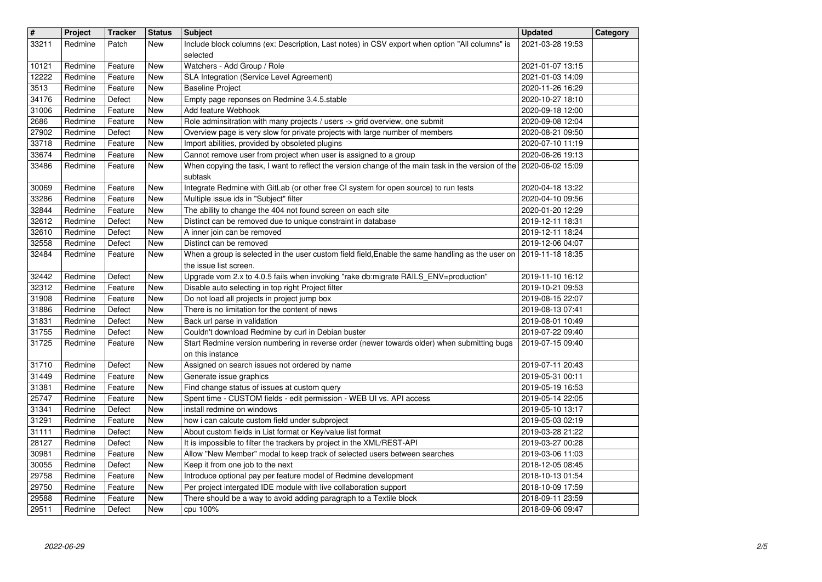| $\overline{\mathbf{H}}$ | Project            | <b>Tracker</b>     | <b>Status</b>     | <b>Subject</b>                                                                                                                                              | <b>Updated</b>                       | Category |
|-------------------------|--------------------|--------------------|-------------------|-------------------------------------------------------------------------------------------------------------------------------------------------------------|--------------------------------------|----------|
| 33211                   | Redmine            | Patch              | New               | Include block columns (ex: Description, Last notes) in CSV export when option "All columns" is<br>selected                                                  | 2021-03-28 19:53                     |          |
| 10121                   | Redmine            | Feature            | New               | Watchers - Add Group / Role                                                                                                                                 | 2021-01-07 13:15                     |          |
| 12222<br>3513           | Redmine<br>Redmine | Feature<br>Feature | New<br>New        | SLA Integration (Service Level Agreement)<br><b>Baseline Project</b>                                                                                        | 2021-01-03 14:09<br>2020-11-26 16:29 |          |
| 34176                   | Redmine            | Defect             | New               | Empty page reponses on Redmine 3.4.5.stable                                                                                                                 | 2020-10-27 18:10                     |          |
| 31006                   | Redmine            | Feature            | New               | Add feature Webhook                                                                                                                                         | 2020-09-18 12:00                     |          |
| 2686<br>27902           | Redmine<br>Redmine | Feature<br>Defect  | New<br>New        | Role adminsitration with many projects / users -> grid overview, one submit<br>Overview page is very slow for private projects with large number of members | 2020-09-08 12:04<br>2020-08-21 09:50 |          |
| 33718                   | Redmine            | Feature            | New               | Import abilities, provided by obsoleted plugins                                                                                                             | 2020-07-10 11:19                     |          |
| 33674                   | Redmine            | Feature            | New               | Cannot remove user from project when user is assigned to a group                                                                                            | 2020-06-26 19:13                     |          |
| 33486                   | Redmine            | Feature            | New               | When copying the task, I want to reflect the version change of the main task in the version of the 2020-06-02 15:09<br>subtask                              |                                      |          |
| 30069                   | Redmine            | Feature            | New               | Integrate Redmine with GitLab (or other free CI system for open source) to run tests                                                                        | 2020-04-18 13:22                     |          |
| 33286<br>32844          | Redmine<br>Redmine | Feature<br>Feature | New<br>New        | Multiple issue ids in "Subject" filter<br>The ability to change the 404 not found screen on each site                                                       | 2020-04-10 09:56<br>2020-01-20 12:29 |          |
| $32612$                 | Redmine            | Defect             | New               | Distinct can be removed due to unique constraint in database                                                                                                | 2019-12-11 18:31                     |          |
| 32610                   | Redmine            | Defect             | New               | A inner join can be removed                                                                                                                                 | 2019-12-11 18:24                     |          |
| 32558<br>32484          | Redmine<br>Redmine | Defect<br>Feature  | New<br>New        | Distinct can be removed<br>When a group is selected in the user custom field field, Enable the same handling as the user on 2019-11-18 18:35                | 2019-12-06 04:07                     |          |
|                         |                    |                    |                   | the issue list screen.                                                                                                                                      |                                      |          |
| 32442<br>32312          | Redmine<br>Redmine | Defect<br>Feature  | New<br>New        | Upgrade vom 2.x to 4.0.5 fails when invoking "rake db:migrate RAILS_ENV=production"<br>Disable auto selecting in top right Project filter                   | 2019-11-10 16:12<br>2019-10-21 09:53 |          |
| 31908                   | Redmine            | Feature            | New               | Do not load all projects in project jump box                                                                                                                | 2019-08-15 22:07                     |          |
| 31886                   | Redmine            | Defect             | New               | There is no limitation for the content of news                                                                                                              | 2019-08-13 07:41                     |          |
| 31831<br>31755          | Redmine<br>Redmine | Defect<br>Defect   | <b>New</b><br>New | Back url parse in validation<br>Couldn't download Redmine by curl in Debian buster                                                                          | 2019-08-01 10:49<br>2019-07-22 09:40 |          |
| 31725                   | Redmine            | Feature            | New               | Start Redmine version numbering in reverse order (newer towards older) when submitting bugs                                                                 | 2019-07-15 09:40                     |          |
|                         |                    |                    |                   | on this instance                                                                                                                                            |                                      |          |
| 31710<br>31449          | Redmine<br>Redmine | Defect<br>Feature  | New<br>New        | Assigned on search issues not ordered by name<br>Generate issue graphics                                                                                    | 2019-07-11 20:43<br>2019-05-31 00:11 |          |
| 31381                   | Redmine            | Feature            | New               | Find change status of issues at custom query                                                                                                                | 2019-05-19 16:53                     |          |
| 25747<br>31341          | Redmine<br>Redmine | Feature<br>Defect  | New<br>New        | Spent time - CUSTOM fields - edit permission - WEB UI vs. API access<br>install redmine on windows                                                          | 2019-05-14 22:05<br>2019-05-10 13:17 |          |
| 31291                   | Redmine            | Feature            | New               | how i can calcute custom field under subproject                                                                                                             | 2019-05-03 02:19                     |          |
| 31111                   | Redmine            | Defect             | New               | About custom fields in List format or Key/value list format                                                                                                 | 2019-03-28 21:22                     |          |
| 28127<br>30981          | Redmine<br>Redmine | Defect<br>Feature  | New<br>New        | It is impossible to filter the trackers by project in the XML/REST-API<br>Allow "New Member" modal to keep track of selected users between searches         | 2019-03-27 00:28<br>2019-03-06 11:03 |          |
| 30055                   | Redmine            | Defect             | New               | Keep it from one job to the next                                                                                                                            | 2018-12-05 08:45                     |          |
| 29758<br>29750          | Redmine            | Feature            | New<br>New        | Introduce optional pay per feature model of Redmine development<br>Per project intergated IDE module with live collaboration support                        | 2018-10-13 01:54<br>2018-10-09 17:59 |          |
| 29588                   | Redmine<br>Redmine | Feature<br>Feature | New               | There should be a way to avoid adding paragraph to a Textile block                                                                                          | 2018-09-11 23:59                     |          |
| 29511                   | Redmine            | Defect             | New               | cpu 100%                                                                                                                                                    | 2018-09-06 09:47                     |          |
|                         |                    |                    |                   |                                                                                                                                                             |                                      |          |
|                         |                    |                    |                   |                                                                                                                                                             |                                      |          |
|                         |                    |                    |                   |                                                                                                                                                             |                                      |          |
|                         |                    |                    |                   |                                                                                                                                                             |                                      |          |
|                         |                    |                    |                   |                                                                                                                                                             |                                      |          |
|                         |                    |                    |                   |                                                                                                                                                             |                                      |          |
|                         |                    |                    |                   |                                                                                                                                                             |                                      |          |
|                         |                    |                    |                   |                                                                                                                                                             |                                      |          |
|                         |                    |                    |                   |                                                                                                                                                             |                                      |          |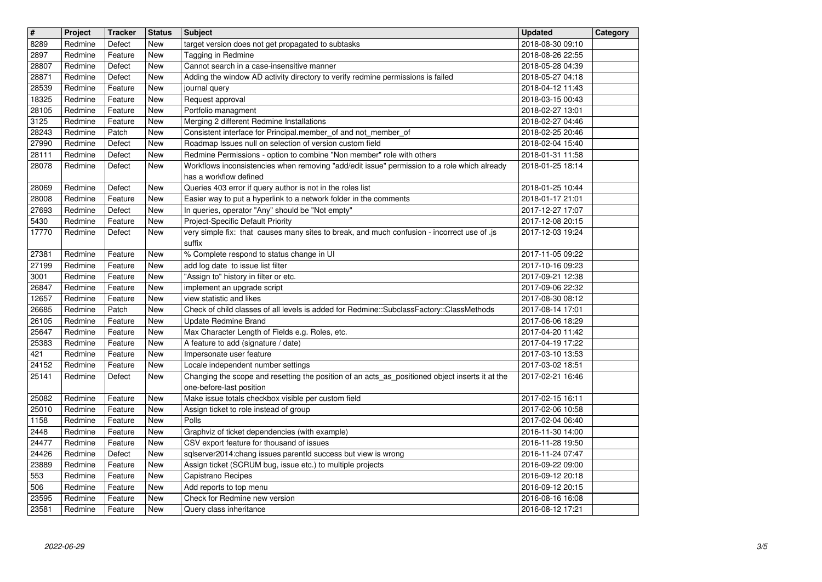| $\overline{\mathbf{H}}$ | Project            | <b>Tracker</b>     | <b>Status</b>     | Subject                                                                                                                           | <b>Updated</b>                       | Category |
|-------------------------|--------------------|--------------------|-------------------|-----------------------------------------------------------------------------------------------------------------------------------|--------------------------------------|----------|
| 8289                    | Redmine            | Defect             | New               | target version does not get propagated to subtasks                                                                                | 2018-08-30 09:10                     |          |
| 2897<br>28807           | Redmine<br>Redmine | Feature<br>Defect  | New<br>New        | Tagging in Redmine<br>Cannot search in a case-insensitive manner                                                                  | 2018-08-26 22:55<br>2018-05-28 04:39 |          |
| 28871                   | Redmine            | Defect             | New               | Adding the window AD activity directory to verify redmine permissions is failed                                                   | 2018-05-27 04:18                     |          |
| 28539                   | Redmine            | Feature            | New               | journal query                                                                                                                     | 2018-04-12 11:43                     |          |
| 18325<br>28105          | Redmine<br>Redmine | Feature<br>Feature | New<br>New        | Request approval<br>Portfolio managment                                                                                           | 2018-03-15 00:43<br>2018-02-27 13:01 |          |
| 3125                    | Redmine            | Feature            | New               | Merging 2 different Redmine Installations                                                                                         | 2018-02-27 04:46                     |          |
| 28243                   | Redmine            | Patch              | New               | Consistent interface for Principal.member_of and not_member_of                                                                    | 2018-02-25 20:46                     |          |
| 27990<br>28111          | Redmine<br>Redmine | Defect<br>Defect   | New<br>New        | Roadmap Issues null on selection of version custom field<br>Redmine Permissions - option to combine "Non member" role with others | 2018-02-04 15:40<br>2018-01-31 11:58 |          |
| 28078                   | Redmine            | Defect             | New               | Workflows inconsistencies when removing "add/edit issue" permission to a role which already                                       | 2018-01-25 18:14                     |          |
|                         |                    |                    |                   | has a workflow defined                                                                                                            |                                      |          |
| 28069<br>28008          | Redmine<br>Redmine | Defect<br>Feature  | New<br><b>New</b> | Queries 403 error if query author is not in the roles list<br>Easier way to put a hyperlink to a network folder in the comments   | 2018-01-25 10:44<br>2018-01-17 21:01 |          |
| 27693                   | Redmine            | Defect             | New               | In queries, operator "Any" should be "Not empty"                                                                                  | 2017-12-27 17:07                     |          |
| 5430<br>17770           | Redmine<br>Redmine | Feature<br>Defect  | New<br>New        | Project-Specific Default Priority<br>very simple fix: that causes many sites to break, and much confusion - incorrect use of .js  | 2017-12-08 20:15<br>2017-12-03 19:24 |          |
|                         |                    |                    |                   | suffix                                                                                                                            |                                      |          |
| 27381                   | Redmine            | Feature            | New               | % Complete respond to status change in UI                                                                                         | 2017-11-05 09:22                     |          |
| 27199<br>3001           | Redmine<br>Redmine | Feature<br>Feature | New<br>New        | add log date to issue list filter<br>"Assign to" history in filter or etc.                                                        | 2017-10-16 09:23<br>2017-09-21 12:38 |          |
| 26847                   | Redmine            | Feature            | New               | implement an upgrade script                                                                                                       | 2017-09-06 22:32                     |          |
| 12657<br>26685          | Redmine<br>Redmine | Feature<br>Patch   | New<br>New        | view statistic and likes<br>Check of child classes of all levels is added for Redmine::SubclassFactory::ClassMethods              | 2017-08-30 08:12<br>2017-08-14 17:01 |          |
| 26105                   | Redmine            | Feature            | New               | Update Redmine Brand                                                                                                              | 2017-06-06 18:29                     |          |
| 25647                   | Redmine            | Feature            | New               | Max Character Length of Fields e.g. Roles, etc.                                                                                   | 2017-04-20 11:42                     |          |
| 25383<br>421            | Redmine<br>Redmine | Feature<br>Feature | New<br>New        | A feature to add (signature / date)<br>Impersonate user feature                                                                   | 2017-04-19 17:22<br>2017-03-10 13:53 |          |
| 24152                   | Redmine            | Feature            | New               | Locale independent number settings                                                                                                | 2017-03-02 18:51                     |          |
| 25141                   | Redmine            | Defect             | New               | Changing the scope and resetting the position of an acts_as_positioned object inserts it at the                                   | 2017-02-21 16:46                     |          |
| 25082                   | Redmine            | Feature            | New               | one-before-last position<br>Make issue totals checkbox visible per custom field                                                   | 2017-02-15 16:11                     |          |
| 25010                   | Redmine            | Feature            | New               | Assign ticket to role instead of group                                                                                            | 2017-02-06 10:58                     |          |
| 1158                    | Redmine            | Feature            | New               | Polls                                                                                                                             | 2017-02-04 06:40                     |          |
| 2448<br>24477           | Redmine<br>Redmine | Feature<br>Feature | New<br>New        | Graphviz of ticket dependencies (with example)<br>CSV export feature for thousand of issues                                       | 2016-11-30 14:00<br>2016-11-28 19:50 |          |
| 24426                   | Redmine            | Defect             | <b>New</b>        | sqlserver2014:chang issues parentld success but view is wrong                                                                     | 2016-11-24 07:47                     |          |
| 23889                   | Redmine            | Feature            | New               | Assign ticket (SCRUM bug, issue etc.) to multiple projects                                                                        | 2016-09-22 09:00                     |          |
| 553<br>506              | Redmine<br>Redmine | Feature<br>Feature | New<br>New        | Capistrano Recipes<br>Add reports to top menu                                                                                     | 2016-09-12 20:18<br>2016-09-12 20:15 |          |
| 23595<br>23581          | Redmine            | Feature            | New<br>New        | Check for Redmine new version<br>Query class inheritance                                                                          | 2016-08-16 16:08<br>2016-08-12 17:21 |          |
|                         |                    |                    |                   |                                                                                                                                   |                                      |          |
|                         |                    |                    |                   |                                                                                                                                   |                                      |          |
|                         |                    |                    |                   |                                                                                                                                   |                                      |          |
|                         |                    |                    |                   |                                                                                                                                   |                                      |          |
|                         |                    |                    |                   |                                                                                                                                   |                                      |          |
|                         |                    |                    |                   |                                                                                                                                   |                                      |          |
|                         |                    |                    |                   |                                                                                                                                   |                                      |          |
|                         |                    |                    |                   |                                                                                                                                   |                                      |          |
|                         |                    |                    |                   |                                                                                                                                   |                                      |          |
|                         |                    |                    |                   |                                                                                                                                   |                                      |          |
|                         |                    |                    |                   |                                                                                                                                   |                                      |          |
|                         |                    |                    |                   |                                                                                                                                   |                                      |          |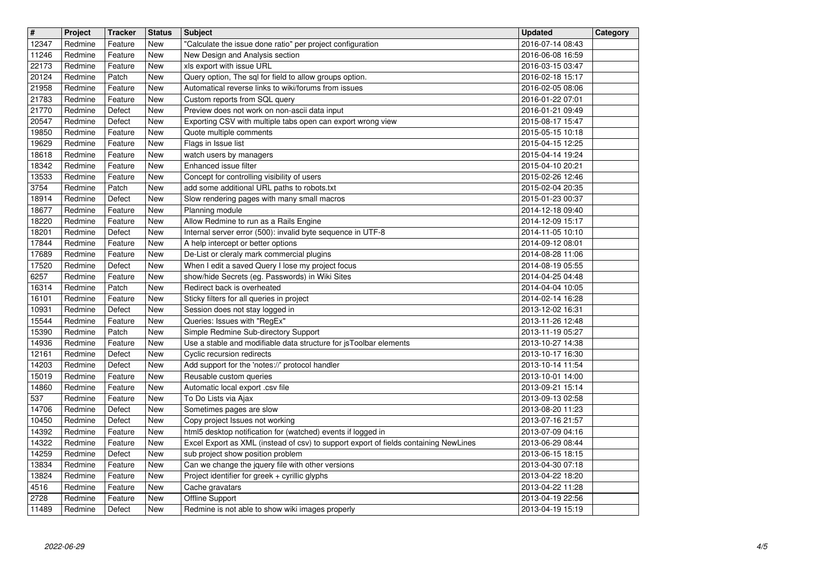| $\overline{\mathbf{H}}$ | Project            | <b>Tracker</b>     | <b>Status</b> | Subject                                                                                                                                              | <b>Updated</b>                       | Category |
|-------------------------|--------------------|--------------------|---------------|------------------------------------------------------------------------------------------------------------------------------------------------------|--------------------------------------|----------|
| 12347                   | Redmine            | Feature            | New           | "Calculate the issue done ratio" per project configuration                                                                                           | 2016-07-14 08:43                     |          |
| 11246<br>22173          | Redmine<br>Redmine | Feature<br>Feature | New<br>New    | New Design and Analysis section<br>xls export with issue URL                                                                                         | 2016-06-08 16:59<br>2016-03-15 03:47 |          |
| 20124                   | Redmine            | Patch              | New           | Query option, The sql for field to allow groups option.                                                                                              | 2016-02-18 15:17                     |          |
| 21958                   | Redmine            | Feature            | New           | Automatical reverse links to wiki/forums from issues<br>Custom reports from SQL query                                                                | 2016-02-05 08:06                     |          |
| 21783<br>21770          | Redmine<br>Redmine | Feature<br>Defect  | New<br>New    | Preview does not work on non-ascii data input                                                                                                        | 2016-01-22 07:01<br>2016-01-21 09:49 |          |
| 20547                   | Redmine            | Defect             | New           | Exporting CSV with multiple tabs open can export wrong view                                                                                          | 2015-08-17 15:47                     |          |
| 19850<br>19629          | Redmine<br>Redmine | Feature<br>Feature | New<br>New    | Quote multiple comments<br>Flags in Issue list                                                                                                       | 2015-05-15 10:18<br>2015-04-15 12:25 |          |
| 18618                   | Redmine            | Feature            | New           | watch users by managers                                                                                                                              | 2015-04-14 19:24                     |          |
| 18342                   | Redmine            | Feature            | New           | Enhanced issue filter                                                                                                                                | 2015-04-10 20:21                     |          |
| 13533<br>3754           | Redmine<br>Redmine | Feature<br>Patch   | New<br>New    | Concept for controlling visibility of users<br>add some additional URL paths to robots.txt                                                           | 2015-02-26 12:46<br>2015-02-04 20:35 |          |
| 18914                   | Redmine            | Defect             | New           | Slow rendering pages with many small macros                                                                                                          | 2015-01-23 00:37                     |          |
| 18677                   | Redmine            | Feature            | New           | Planning module                                                                                                                                      | 2014-12-18 09:40                     |          |
| 18220<br>18201          | Redmine<br>Redmine | Feature<br>Defect  | New<br>New    | Allow Redmine to run as a Rails Engine<br>Internal server error (500): invalid byte sequence in UTF-8                                                | 2014-12-09 15:17<br>2014-11-05 10:10 |          |
| 17844                   | Redmine            | Feature            | New           | A help intercept or better options                                                                                                                   | 2014-09-12 08:01                     |          |
| 17689                   | Redmine            | Feature            | New           | De-List or cleraly mark commercial plugins                                                                                                           | 2014-08-28 11:06                     |          |
| 17520<br>6257           | Redmine<br>Redmine | Defect<br>Feature  | New<br>New    | When I edit a saved Query I lose my project focus<br>show/hide Secrets (eg. Passwords) in Wiki Sites                                                 | 2014-08-19 05:55<br>2014-04-25 04:48 |          |
| 16314                   | Redmine            | Patch              | New           | Redirect back is overheated                                                                                                                          | 2014-04-04 10:05                     |          |
| 16101                   | Redmine            | Feature            | <b>New</b>    | Sticky filters for all queries in project                                                                                                            | 2014-02-14 16:28<br>2013-12-02 16:31 |          |
| 10931<br>15544          | Redmine<br>Redmine | Defect<br>Feature  | New<br>New    | Session does not stay logged in<br>Queries: Issues with "RegEx"                                                                                      | 2013-11-26 12:48                     |          |
| 15390                   | Redmine            | Patch              | New           | Simple Redmine Sub-directory Support                                                                                                                 | 2013-11-19 05:27                     |          |
| 14936                   | Redmine            | Feature            | New           | Use a stable and modifiable data structure for jsToolbar elements                                                                                    | 2013-10-27 14:38                     |          |
| 12161<br>14203          | Redmine<br>Redmine | Defect<br>Defect   | New<br>New    | Cyclic recursion redirects<br>Add support for the 'notes://' protocol handler                                                                        | 2013-10-17 16:30<br>2013-10-14 11:54 |          |
| 15019                   | Redmine            | Feature            | New           | Reusable custom queries                                                                                                                              | 2013-10-01 14:00                     |          |
| 14860<br>537            | Redmine<br>Redmine | Feature            | New<br>New    | Automatic local export .csv file<br>To Do Lists via Ajax                                                                                             | 2013-09-21 15:14                     |          |
| 14706                   | Redmine            | Feature<br>Defect  | New           | Sometimes pages are slow                                                                                                                             | 2013-09-13 02:58<br>2013-08-20 11:23 |          |
| 10450                   | Redmine            | Defect             | New           | Copy project Issues not working                                                                                                                      | 2013-07-16 21:57                     |          |
| 14392<br>14322          | Redmine<br>Redmine | Feature<br>Feature | New<br>New    | html5 desktop notification for (watched) events if logged in<br>Excel Export as XML (instead of csv) to support export of fields containing NewLines | 2013-07-09 04:16<br>2013-06-29 08:44 |          |
| 14259                   | Redmine            | Defect             | <b>New</b>    | sub project show position problem                                                                                                                    | 2013-06-15 18:15                     |          |
| 13834                   | Redmine            | Feature            | $\vert$ New   | Can we change the jquery file with other versions                                                                                                    | 2013-04-30 07:18                     |          |
| 13824<br>4516           | Redmine<br>Redmine | Feature<br>Feature | New<br>New    | Project identifier for greek + cyrillic glyphs<br>Cache gravatars                                                                                    | 2013-04-22 18:20<br>2013-04-22 11:28 |          |
| 2728                    | Redmine            | Feature            | New           | Offline Support                                                                                                                                      | 2013-04-19 22:56                     |          |
| 11489                   | Redmine            | Defect             | New           | Redmine is not able to show wiki images properly                                                                                                     | 2013-04-19 15:19                     |          |
|                         |                    |                    |               |                                                                                                                                                      |                                      |          |
|                         |                    |                    |               |                                                                                                                                                      |                                      |          |
|                         |                    |                    |               |                                                                                                                                                      |                                      |          |
|                         |                    |                    |               |                                                                                                                                                      |                                      |          |
|                         |                    |                    |               |                                                                                                                                                      |                                      |          |
|                         |                    |                    |               |                                                                                                                                                      |                                      |          |
|                         |                    |                    |               |                                                                                                                                                      |                                      |          |
|                         |                    |                    |               |                                                                                                                                                      |                                      |          |
|                         |                    |                    |               |                                                                                                                                                      |                                      |          |
|                         |                    |                    |               |                                                                                                                                                      |                                      |          |
|                         |                    |                    |               |                                                                                                                                                      |                                      |          |